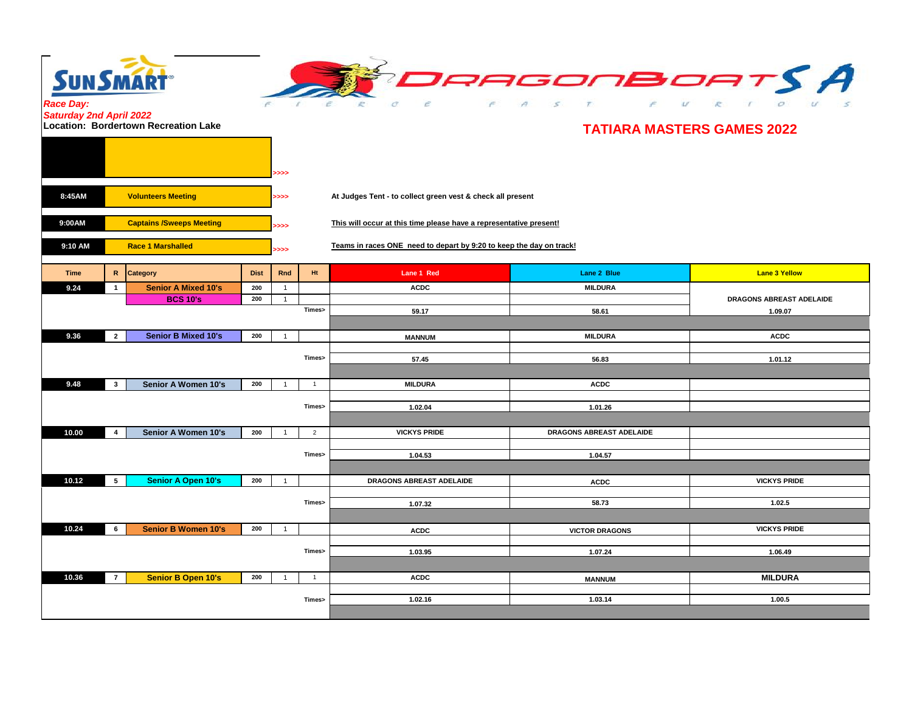

**SUNSMART** *Race Day:* 

*Saturday 2nd April 2022* **Location: Bordertown Recreation Lake**

## **TATIARA MASTERS GAMES 2022**

|             |                                 |                            |             | ⋙              |                                                                                     |                                                                     |                          |                          |  |  |
|-------------|---------------------------------|----------------------------|-------------|----------------|-------------------------------------------------------------------------------------|---------------------------------------------------------------------|--------------------------|--------------------------|--|--|
| 8:45AM      | <b>Volunteers Meeting</b>       |                            |             |                | At Judges Tent - to collect green vest & check all present<br>>>>                   |                                                                     |                          |                          |  |  |
| 9:00AM      | <b>Captains /Sweeps Meeting</b> |                            |             |                | This will occur at this time please have a representative present!<br>$\rightarrow$ |                                                                     |                          |                          |  |  |
| 9:10 AM     | <b>Race 1 Marshalled</b>        |                            |             |                |                                                                                     | Teams in races ONE need to depart by 9:20 to keep the day on track! |                          |                          |  |  |
| <b>Time</b> |                                 | R Category                 | <b>Dist</b> | Rnd            | Ht.                                                                                 | Lane 1 Red                                                          | Lane 2 Blue              | <b>Lane 3 Yellow</b>     |  |  |
| 9.24        | $\overline{1}$                  | <b>Senior A Mixed 10's</b> | 200         | $\overline{1}$ |                                                                                     | <b>ACDC</b>                                                         | <b>MILDURA</b>           |                          |  |  |
|             |                                 | <b>BCS 10's</b>            | 200         | $\overline{1}$ |                                                                                     |                                                                     |                          | DRAGONS ABREAST ADELAIDE |  |  |
|             |                                 |                            |             |                | Times>                                                                              | 59.17                                                               | 58.61                    | 1.09.07                  |  |  |
|             |                                 |                            |             |                |                                                                                     |                                                                     |                          |                          |  |  |
| 9.36        | $\overline{2}$                  | <b>Senior B Mixed 10's</b> | 200         | $\overline{1}$ |                                                                                     | <b>MANNUM</b>                                                       | <b>MILDURA</b>           | <b>ACDC</b>              |  |  |
|             |                                 |                            |             |                | Times>                                                                              | 57.45                                                               | 56.83                    | 1.01.12                  |  |  |
|             |                                 |                            |             |                |                                                                                     |                                                                     |                          |                          |  |  |
| 9.48        | $\mathbf{3}$                    | Senior A Women 10's        | 200         | $\overline{1}$ | $\overline{1}$                                                                      | <b>MILDURA</b>                                                      | <b>ACDC</b>              |                          |  |  |
|             |                                 |                            |             |                |                                                                                     |                                                                     |                          |                          |  |  |
|             |                                 |                            |             |                | Times>                                                                              | 1.02.04                                                             | 1.01.26                  |                          |  |  |
|             |                                 |                            |             |                |                                                                                     |                                                                     |                          |                          |  |  |
| 10.00       | 4                               | Senior A Women 10's        | 200         | $\overline{1}$ | $\overline{2}$                                                                      | <b>VICKYS PRIDE</b>                                                 | DRAGONS ABREAST ADELAIDE |                          |  |  |
|             |                                 |                            |             |                |                                                                                     |                                                                     |                          |                          |  |  |
|             |                                 |                            |             |                | Times>                                                                              | 1.04.53                                                             | 1.04.57                  |                          |  |  |
|             |                                 |                            |             |                |                                                                                     |                                                                     |                          |                          |  |  |
| 10.12       | 5                               | <b>Senior A Open 10's</b>  | 200         | $\overline{1}$ |                                                                                     | DRAGONS ABREAST ADELAIDE                                            | <b>ACDC</b>              | <b>VICKYS PRIDE</b>      |  |  |
|             |                                 |                            |             |                |                                                                                     |                                                                     |                          |                          |  |  |
|             |                                 |                            |             |                | Times>                                                                              | 1.07.32                                                             | 58.73                    | 1.02.5                   |  |  |
|             |                                 |                            |             |                |                                                                                     |                                                                     |                          |                          |  |  |
| 10.24       | 6                               | <b>Senior B Women 10's</b> | 200         | $\overline{1}$ |                                                                                     | <b>ACDC</b>                                                         | <b>VICTOR DRAGONS</b>    | <b>VICKYS PRIDE</b>      |  |  |
|             |                                 |                            |             |                | Times>                                                                              |                                                                     |                          |                          |  |  |
|             |                                 |                            |             |                |                                                                                     | 1.03.95                                                             | 1.07.24                  | 1.06.49                  |  |  |
|             |                                 |                            |             |                |                                                                                     |                                                                     |                          |                          |  |  |
| 10.36       | $\overline{7}$                  | <b>Senior B Open 10's</b>  | 200         | $\overline{1}$ | $\overline{1}$                                                                      | <b>ACDC</b>                                                         | <b>MANNUM</b>            | <b>MILDURA</b>           |  |  |
|             |                                 |                            |             |                | Times>                                                                              | 1.02.16                                                             | 1.03.14                  | 1.00.5                   |  |  |
|             |                                 |                            |             |                |                                                                                     |                                                                     |                          |                          |  |  |
|             |                                 |                            |             |                |                                                                                     |                                                                     |                          |                          |  |  |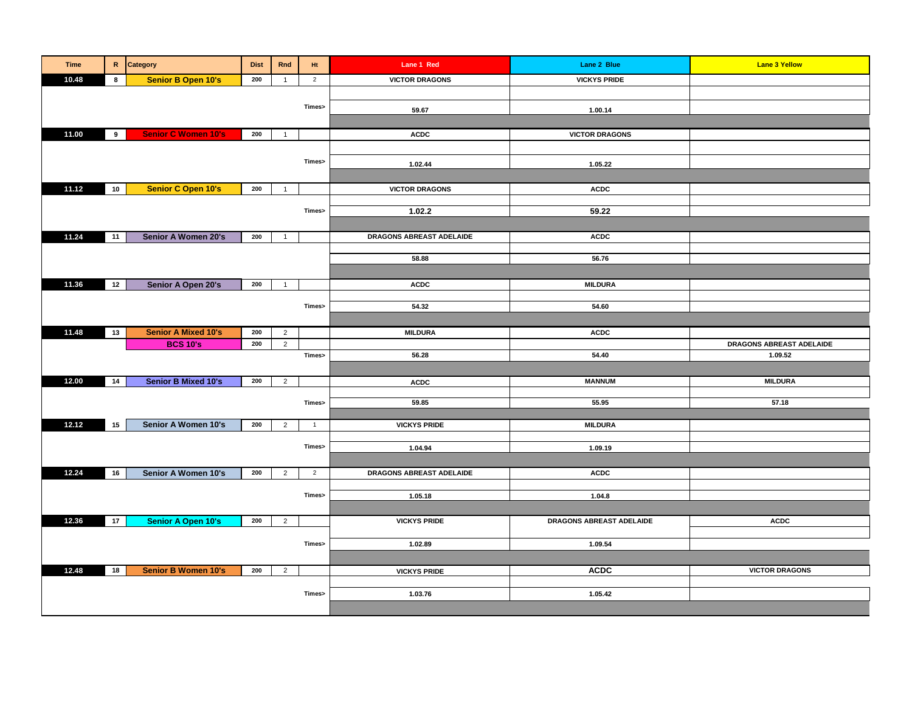| <b>Time</b> |    | R Category                 | <b>Dist</b> | Rnd            | Ht             | Lane 1 Red               | Lane 2 Blue              | <b>Lane 3 Yellow</b>                |
|-------------|----|----------------------------|-------------|----------------|----------------|--------------------------|--------------------------|-------------------------------------|
| 10.48       | 8  | <b>Senior B Open 10's</b>  | 200         | $\overline{1}$ | $\overline{2}$ | <b>VICTOR DRAGONS</b>    | <b>VICKYS PRIDE</b>      |                                     |
|             |    |                            |             |                |                |                          |                          |                                     |
|             |    |                            |             |                | Times>         | 59.67                    | 1.00.14                  |                                     |
|             |    |                            |             |                |                |                          |                          |                                     |
| 11.00       | 9  | <b>Senior C Women 10's</b> | 200         | $\overline{1}$ |                | <b>ACDC</b>              | <b>VICTOR DRAGONS</b>    |                                     |
|             |    |                            |             |                |                |                          |                          |                                     |
|             |    |                            |             |                | Times>         | 1.02.44                  | 1.05.22                  |                                     |
|             |    |                            |             |                |                |                          |                          |                                     |
| 11.12       | 10 | <b>Senior C Open 10's</b>  | 200         | $\overline{1}$ |                | <b>VICTOR DRAGONS</b>    | <b>ACDC</b>              |                                     |
|             |    |                            |             |                |                |                          |                          |                                     |
|             |    |                            |             |                | Times>         | 1.02.2                   | 59.22                    |                                     |
|             |    |                            |             |                |                |                          |                          |                                     |
| 11.24       | 11 | Senior A Women 20's        | 200         | $\overline{1}$ |                | DRAGONS ABREAST ADELAIDE | <b>ACDC</b>              |                                     |
|             |    |                            |             |                |                |                          |                          |                                     |
|             |    |                            |             |                |                | 58.88                    | 56.76                    |                                     |
|             |    |                            |             |                |                |                          |                          |                                     |
| 11.36       | 12 | Senior A Open 20's         | 200         | $\overline{1}$ |                | <b>ACDC</b>              | <b>MILDURA</b>           |                                     |
|             |    |                            |             |                |                |                          |                          |                                     |
|             |    |                            |             |                | Times>         | 54.32                    | 54.60                    |                                     |
|             |    |                            |             |                |                |                          |                          |                                     |
| 11.48       | 13 | <b>Senior A Mixed 10's</b> | 200         | $\overline{2}$ |                | <b>MILDURA</b>           | <b>ACDC</b>              |                                     |
|             |    | <b>BCS 10's</b>            | 200         | $\overline{2}$ | Times>         | 56.28                    | 54.40                    | DRAGONS ABREAST ADELAIDE<br>1.09.52 |
|             |    |                            |             |                |                |                          |                          |                                     |
| 12.00       | 14 |                            | 200         |                |                |                          | <b>MANNUM</b>            | <b>MILDURA</b>                      |
|             |    | <b>Senior B Mixed 10's</b> |             | $\overline{2}$ |                | <b>ACDC</b>              |                          |                                     |
|             |    |                            |             |                | Times>         | 59.85                    | 55.95                    | 57.18                               |
|             |    |                            |             |                |                |                          |                          |                                     |
| 12.12       | 15 | Senior A Women 10's        | 200         | $\overline{2}$ | $\overline{1}$ | <b>VICKYS PRIDE</b>      | <b>MILDURA</b>           |                                     |
|             |    |                            |             |                |                |                          |                          |                                     |
|             |    |                            |             |                | Times>         | 1.04.94                  | 1.09.19                  |                                     |
|             |    |                            |             |                |                |                          |                          |                                     |
| 12.24       | 16 | Senior A Women 10's        | 200         | 2              | $\overline{2}$ | DRAGONS ABREAST ADELAIDE | <b>ACDC</b>              |                                     |
|             |    |                            |             |                | Times>         |                          |                          |                                     |
|             |    |                            |             |                |                | 1.05.18                  | 1.04.8                   |                                     |
| 12.36       | 17 | <b>Senior A Open 10's</b>  | 200         |                |                | <b>VICKYS PRIDE</b>      | DRAGONS ABREAST ADELAIDE | <b>ACDC</b>                         |
|             |    |                            |             | $\overline{2}$ |                |                          |                          |                                     |
|             |    |                            |             |                | Times>         | 1.02.89                  | 1.09.54                  |                                     |
|             |    |                            |             |                |                |                          |                          |                                     |
| 12.48       | 18 | <b>Senior B Women 10's</b> | 200         | $\overline{2}$ |                | <b>VICKYS PRIDE</b>      | <b>ACDC</b>              | <b>VICTOR DRAGONS</b>               |
|             |    |                            |             |                |                |                          |                          |                                     |
|             |    |                            |             |                | Times>         | 1.03.76                  | 1.05.42                  |                                     |
|             |    |                            |             |                |                |                          |                          |                                     |
|             |    |                            |             |                |                |                          |                          |                                     |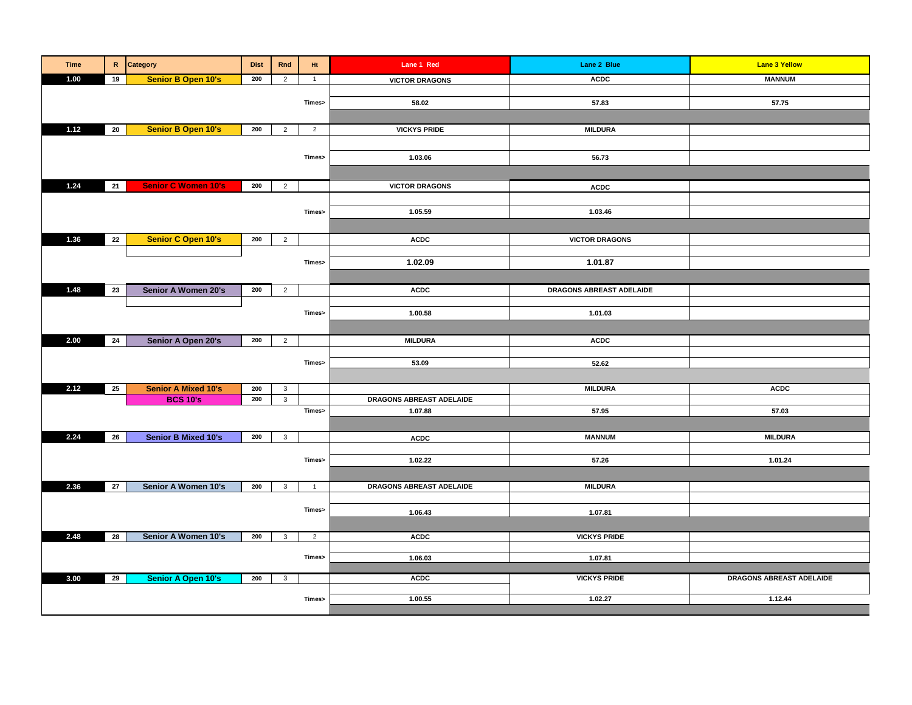| <b>Time</b> | $\mathbf R^-$   | Category                   | <b>Dist</b> | Rnd            | Ht             | Lane 1 Red               | Lane 2 Blue              | <b>Lane 3 Yellow</b>     |
|-------------|-----------------|----------------------------|-------------|----------------|----------------|--------------------------|--------------------------|--------------------------|
| 1.00        | 19              | <b>Senior B Open 10's</b>  | 200         | $\overline{2}$ | $\overline{1}$ | <b>VICTOR DRAGONS</b>    | <b>ACDC</b>              | <b>MANNUM</b>            |
|             |                 |                            |             |                |                |                          |                          |                          |
|             |                 |                            |             |                | Times>         | 58.02                    | 57.83                    | 57.75                    |
|             |                 |                            |             |                |                |                          |                          |                          |
| 1.12        | $20\,$          | <b>Senior B Open 10's</b>  | 200         | $\overline{2}$ | $\overline{2}$ | <b>VICKYS PRIDE</b>      | <b>MILDURA</b>           |                          |
|             |                 |                            |             |                |                |                          |                          |                          |
|             |                 |                            |             |                | Times>         | 1.03.06                  | 56.73                    |                          |
|             |                 |                            |             |                |                |                          |                          |                          |
| 1.24        | 21              | <b>Senior C Women 10's</b> | 200         | $\overline{2}$ |                | <b>VICTOR DRAGONS</b>    |                          |                          |
|             |                 |                            |             |                |                |                          | <b>ACDC</b>              |                          |
|             |                 |                            |             |                |                |                          |                          |                          |
|             |                 |                            |             |                | Times>         | 1.05.59                  | 1.03.46                  |                          |
|             |                 |                            |             |                |                |                          |                          |                          |
| 1.36        | 22              | <b>Senior C Open 10's</b>  | 200         | $\overline{2}$ |                | <b>ACDC</b>              | <b>VICTOR DRAGONS</b>    |                          |
|             |                 |                            |             |                |                |                          |                          |                          |
|             |                 |                            |             |                | Times>         | 1.02.09                  | 1.01.87                  |                          |
|             |                 |                            |             |                |                |                          |                          |                          |
| 1.48        | 23              | Senior A Women 20's        | 200         | $\overline{2}$ |                | <b>ACDC</b>              | DRAGONS ABREAST ADELAIDE |                          |
|             |                 |                            |             |                |                |                          |                          |                          |
|             |                 |                            |             |                | Times>         | 1.00.58                  | 1.01.03                  |                          |
|             |                 |                            |             |                |                |                          |                          |                          |
| 2.00        | 24              | Senior A Open 20's         | 200         | $\overline{2}$ |                | <b>MILDURA</b>           | <b>ACDC</b>              |                          |
|             |                 |                            |             |                |                |                          |                          |                          |
|             |                 |                            |             |                | Times>         | 53.09                    | 52.62                    |                          |
|             |                 |                            |             |                |                |                          |                          |                          |
| 2.12        | 25              | <b>Senior A Mixed 10's</b> | 200         | $\mathbf{3}$   |                |                          | <b>MILDURA</b>           | <b>ACDC</b>              |
|             |                 | <b>BCS 10's</b>            | 200         | $\mathbf{3}$   |                | DRAGONS ABREAST ADELAIDE |                          |                          |
|             |                 |                            |             |                | Times>         | 1.07.88                  | 57.95                    | 57.03                    |
|             |                 |                            |             |                |                |                          |                          |                          |
| 2.24        | 26              | <b>Senior B Mixed 10's</b> | 200         | $\mathbf{3}$   |                | <b>ACDC</b>              | <b>MANNUM</b>            | <b>MILDURA</b>           |
|             |                 |                            |             |                |                |                          |                          |                          |
|             |                 |                            |             |                | Times>         | 1.02.22                  | 57.26                    | 1.01.24                  |
|             |                 |                            |             |                |                |                          |                          |                          |
| 2.36        | $\overline{27}$ | Senior A Women 10's        | 200         | $\mathbf{3}$   | $\overline{1}$ | DRAGONS ABREAST ADELAIDE | <b>MILDURA</b>           |                          |
|             |                 |                            |             |                |                |                          |                          |                          |
|             |                 |                            |             |                | Times>         | 1.06.43                  | 1.07.81                  |                          |
|             |                 |                            |             |                |                |                          |                          |                          |
| 2.48        | $\overline{28}$ | Senior A Women 10's        | 200         | $\mathbf{3}$   | $\overline{2}$ | <b>ACDC</b>              | <b>VICKYS PRIDE</b>      |                          |
|             |                 |                            |             |                |                |                          |                          |                          |
|             |                 |                            |             |                | Times>         | 1.06.03                  | 1.07.81                  |                          |
|             |                 |                            |             |                |                |                          |                          |                          |
| 3.00        | 29              | <b>Senior A Open 10's</b>  | 200         | $\mathbf{3}$   |                | <b>ACDC</b>              | <b>VICKYS PRIDE</b>      | DRAGONS ABREAST ADELAIDE |
|             |                 |                            |             |                | Times>         | 1.00.55                  | 1.02.27                  | 1.12.44                  |
|             |                 |                            |             |                |                |                          |                          |                          |